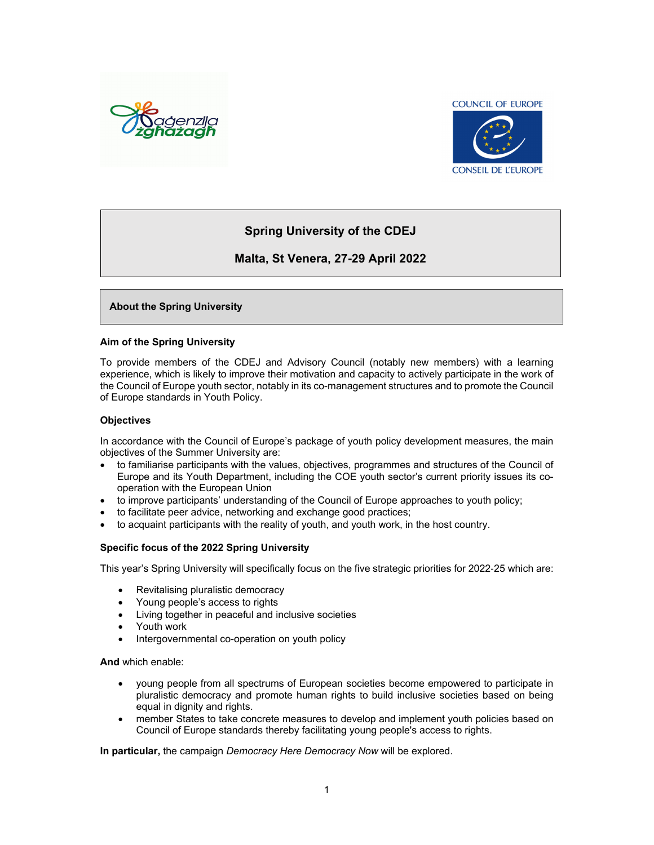



## **Spring University of the CDEJ**

### **Malta, St Venera, 27-29 April 2022**

#### **About the Spring University**

#### **Aim of the Spring University**

To provide members of the CDEJ and Advisory Council (notably new members) with a learning experience, which is likely to improve their motivation and capacity to actively participate in the work of the Council of Europe youth sector, notably in its co-management structures and to promote the Council of Europe standards in Youth Policy.

#### **Objectives**

In accordance with the Council of Europe's package of youth policy development measures, the main objectives of the Summer University are:

- to familiarise participants with the values, objectives, programmes and structures of the Council of Europe and its Youth Department, including the COE youth sector's current priority issues its cooperation with the European Union
- to improve participants' understanding of the Council of Europe approaches to youth policy;
- to facilitate peer advice, networking and exchange good practices;
- to acquaint participants with the reality of youth, and youth work, in the host country.

#### **Specific focus of the 2022 Spring University**

This year's Spring University will specifically focus on the five strategic priorities for 2022-25 which are:

- Revitalising pluralistic democracy
- Young people's access to rights
- Living together in peaceful and inclusive societies
- Youth work
- Intergovernmental co-operation on youth policy

**And** which enable:

- young people from all spectrums of European societies become empowered to participate in pluralistic democracy and promote human rights to build inclusive societies based on being equal in dignity and rights.
- member States to take concrete measures to develop and implement youth policies based on Council of Europe standards thereby facilitating young people's access to rights.

**In particular,** the campaign *Democracy Here Democracy Now* will be explored.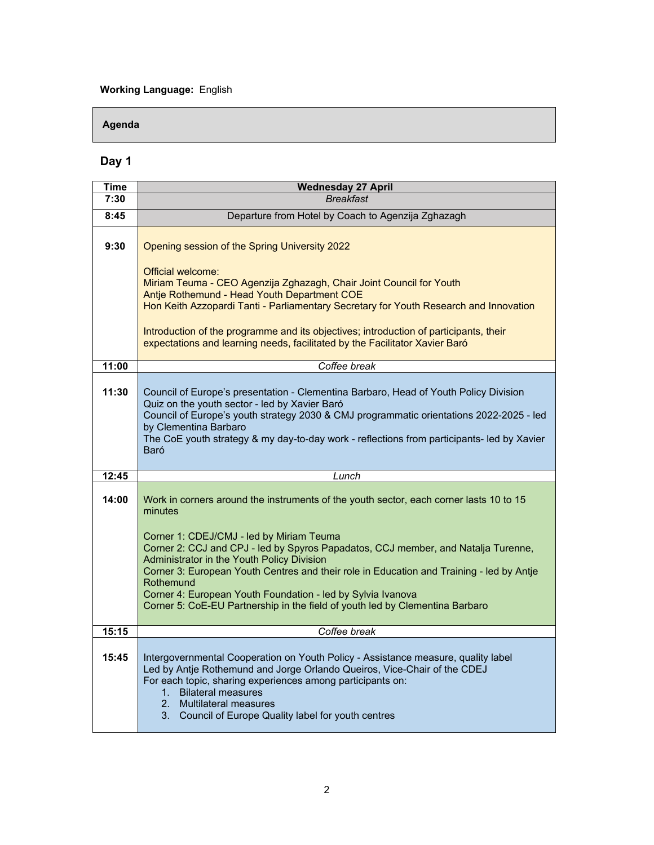### **Working Language:** English

### **Agenda**

# **Day 1**

| Time  | <b>Wednesday 27 April</b>                                                                                                                                                                                                                                                                                                                                                                                                                                 |
|-------|-----------------------------------------------------------------------------------------------------------------------------------------------------------------------------------------------------------------------------------------------------------------------------------------------------------------------------------------------------------------------------------------------------------------------------------------------------------|
| 7:30  | <b>Breakfast</b>                                                                                                                                                                                                                                                                                                                                                                                                                                          |
| 8:45  | Departure from Hotel by Coach to Agenzija Zghazagh                                                                                                                                                                                                                                                                                                                                                                                                        |
| 9:30  | Opening session of the Spring University 2022<br>Official welcome:<br>Miriam Teuma - CEO Agenzija Zghazagh, Chair Joint Council for Youth<br>Antje Rothemund - Head Youth Department COE<br>Hon Keith Azzopardi Tanti - Parliamentary Secretary for Youth Research and Innovation<br>Introduction of the programme and its objectives; introduction of participants, their<br>expectations and learning needs, facilitated by the Facilitator Xavier Baró |
|       |                                                                                                                                                                                                                                                                                                                                                                                                                                                           |
| 11:00 | Coffee break                                                                                                                                                                                                                                                                                                                                                                                                                                              |
| 11:30 | Council of Europe's presentation - Clementina Barbaro, Head of Youth Policy Division<br>Quiz on the youth sector - led by Xavier Baró<br>Council of Europe's youth strategy 2030 & CMJ programmatic orientations 2022-2025 - led<br>by Clementina Barbaro<br>The CoE youth strategy & my day-to-day work - reflections from participants- led by Xavier<br>Baró                                                                                           |
| 12:45 | Lunch                                                                                                                                                                                                                                                                                                                                                                                                                                                     |
| 14:00 | Work in corners around the instruments of the youth sector, each corner lasts 10 to 15<br>minutes<br>Corner 1: CDEJ/CMJ - led by Miriam Teuma<br>Corner 2: CCJ and CPJ - led by Spyros Papadatos, CCJ member, and Natalja Turenne,<br>Administrator in the Youth Policy Division<br>Corner 3: European Youth Centres and their role in Education and Training - led by Antje<br>Rothemund<br>Corner 4: European Youth Foundation - led by Sylvia Ivanova  |
|       | Corner 5: CoE-EU Partnership in the field of youth led by Clementina Barbaro                                                                                                                                                                                                                                                                                                                                                                              |
| 15:15 | Coffee break                                                                                                                                                                                                                                                                                                                                                                                                                                              |
| 15:45 | Intergovernmental Cooperation on Youth Policy - Assistance measure, quality label<br>Led by Antje Rothemund and Jorge Orlando Queiros, Vice-Chair of the CDEJ<br>For each topic, sharing experiences among participants on:<br>1. Bilateral measures<br>2 <sup>1</sup><br><b>Multilateral measures</b><br>3. Council of Europe Quality label for youth centres                                                                                            |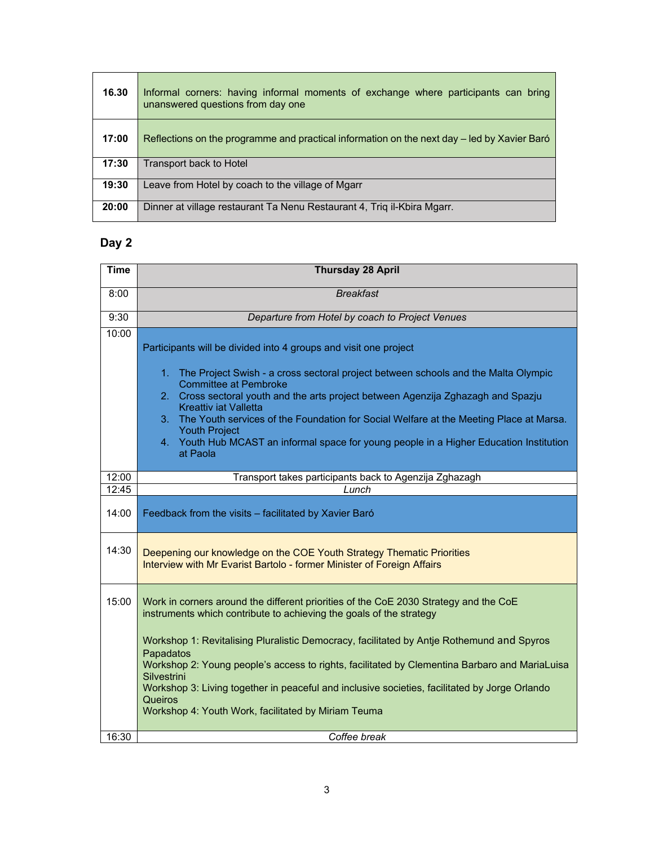| 16.30 | Informal corners: having informal moments of exchange where participants can bring<br>unanswered questions from day one |
|-------|-------------------------------------------------------------------------------------------------------------------------|
| 17:00 | Reflections on the programme and practical information on the next day – led by Xavier Baró                             |
| 17:30 | Transport back to Hotel                                                                                                 |
| 19:30 | Leave from Hotel by coach to the village of Mgarr                                                                       |
| 20:00 | Dinner at village restaurant Ta Nenu Restaurant 4, Triq il-Kbira Mgarr.                                                 |

# **Day 2**

| <b>Time</b> | <b>Thursday 28 April</b>                                                                                                                                                                                                                                                                                                                                                                                                                                                                                                                   |
|-------------|--------------------------------------------------------------------------------------------------------------------------------------------------------------------------------------------------------------------------------------------------------------------------------------------------------------------------------------------------------------------------------------------------------------------------------------------------------------------------------------------------------------------------------------------|
| 8:00        | <b>Breakfast</b>                                                                                                                                                                                                                                                                                                                                                                                                                                                                                                                           |
| 9:30        | Departure from Hotel by coach to Project Venues                                                                                                                                                                                                                                                                                                                                                                                                                                                                                            |
| 10:00       | Participants will be divided into 4 groups and visit one project<br>1. The Project Swish - a cross sectoral project between schools and the Malta Olympic<br><b>Committee at Pembroke</b><br>2. Cross sectoral youth and the arts project between Agenzija Zghazagh and Spazju<br><b>Kreattiv iat Valletta</b><br>3. The Youth services of the Foundation for Social Welfare at the Meeting Place at Marsa.<br><b>Youth Project</b><br>4. Youth Hub MCAST an informal space for young people in a Higher Education Institution<br>at Paola |
| 12:00       | Transport takes participants back to Agenzija Zghazagh                                                                                                                                                                                                                                                                                                                                                                                                                                                                                     |
| 12:45       | Lunch                                                                                                                                                                                                                                                                                                                                                                                                                                                                                                                                      |
| 14:00       | Feedback from the visits - facilitated by Xavier Baró                                                                                                                                                                                                                                                                                                                                                                                                                                                                                      |
| 14:30       | Deepening our knowledge on the COE Youth Strategy Thematic Priorities<br>Interview with Mr Evarist Bartolo - former Minister of Foreign Affairs                                                                                                                                                                                                                                                                                                                                                                                            |
| 15:00       | Work in corners around the different priorities of the CoE 2030 Strategy and the CoE<br>instruments which contribute to achieving the goals of the strategy                                                                                                                                                                                                                                                                                                                                                                                |
|             | Workshop 1: Revitalising Pluralistic Democracy, facilitated by Antje Rothemund and Spyros<br>Papadatos<br>Workshop 2: Young people's access to rights, facilitated by Clementina Barbaro and MariaLuisa<br>Silvestrini<br>Workshop 3: Living together in peaceful and inclusive societies, facilitated by Jorge Orlando<br><b>Queiros</b><br>Workshop 4: Youth Work, facilitated by Miriam Teuma                                                                                                                                           |
| 16:30       | Coffee break                                                                                                                                                                                                                                                                                                                                                                                                                                                                                                                               |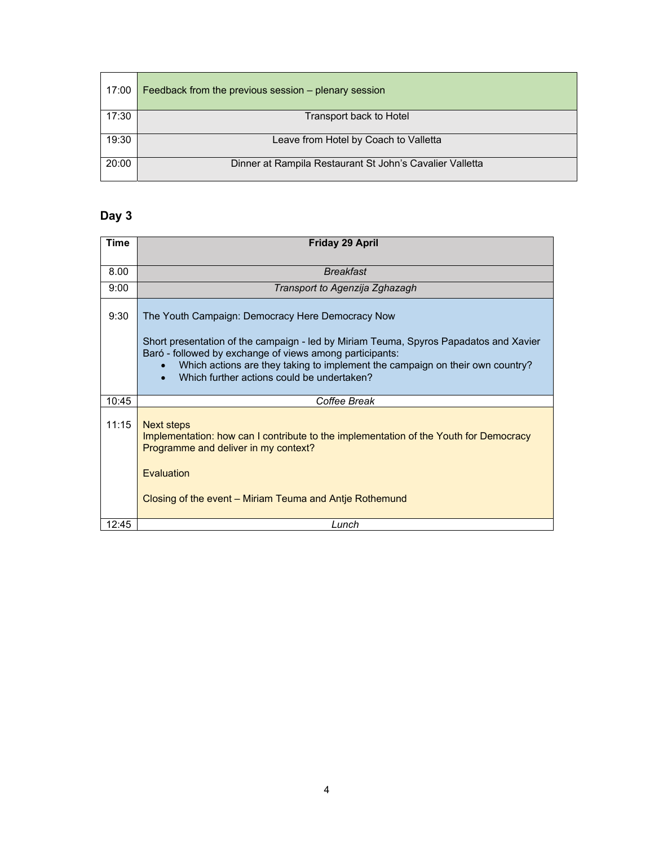| 17:00 | Feedback from the previous session – plenary session     |
|-------|----------------------------------------------------------|
| 17:30 | Transport back to Hotel                                  |
| 19:30 | Leave from Hotel by Coach to Valletta                    |
| 20:00 | Dinner at Rampila Restaurant St John's Cavalier Valletta |

# **Day 3**

| Time  | <b>Friday 29 April</b>                                                                                                                                                                                                                                                                                                                                         |
|-------|----------------------------------------------------------------------------------------------------------------------------------------------------------------------------------------------------------------------------------------------------------------------------------------------------------------------------------------------------------------|
| 8.00  | <b>Breakfast</b>                                                                                                                                                                                                                                                                                                                                               |
| 9:00  | Transport to Agenzija Zghazagh                                                                                                                                                                                                                                                                                                                                 |
| 9:30  | The Youth Campaign: Democracy Here Democracy Now<br>Short presentation of the campaign - led by Miriam Teuma, Spyros Papadatos and Xavier<br>Baró - followed by exchange of views among participants:<br>Which actions are they taking to implement the campaign on their own country?<br>$\bullet$<br>Which further actions could be undertaken?<br>$\bullet$ |
| 10:45 | Coffee Break                                                                                                                                                                                                                                                                                                                                                   |
| 11:15 | <b>Next steps</b><br>Implementation: how can I contribute to the implementation of the Youth for Democracy<br>Programme and deliver in my context?<br>Evaluation<br>Closing of the event – Miriam Teuma and Antie Rothemund                                                                                                                                    |
| 12:45 | Lunch                                                                                                                                                                                                                                                                                                                                                          |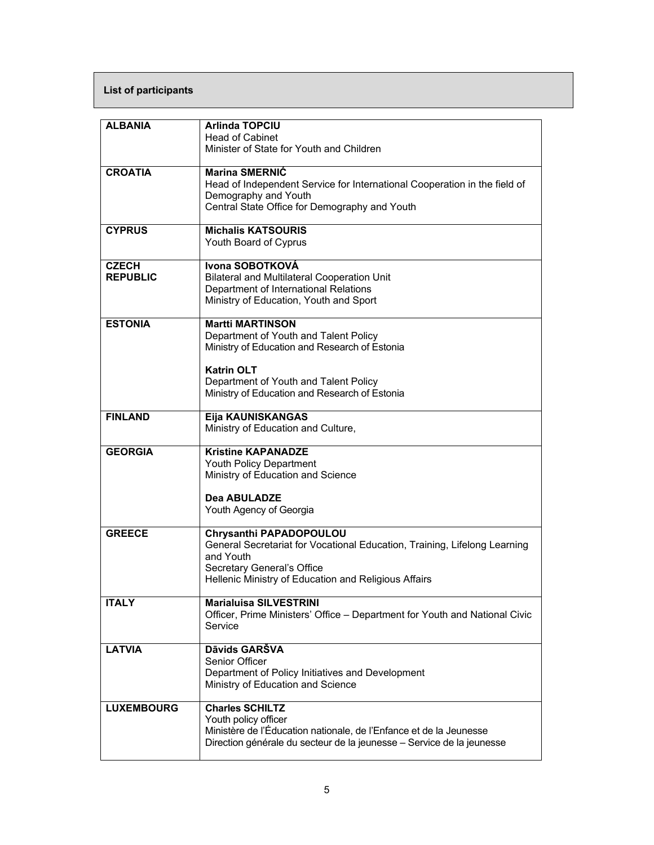## **List of participants**

| <b>ALBANIA</b>    | <b>Arlinda TOPCIU</b>                                                                 |
|-------------------|---------------------------------------------------------------------------------------|
|                   | <b>Head of Cabinet</b><br>Minister of State for Youth and Children                    |
|                   |                                                                                       |
| <b>CROATIA</b>    | <b>Marina SMERNIC</b>                                                                 |
|                   | Head of Independent Service for International Cooperation in the field of             |
|                   | Demography and Youth                                                                  |
|                   | Central State Office for Demography and Youth                                         |
| <b>CYPRUS</b>     | <b>Michalis KATSOURIS</b>                                                             |
|                   | Youth Board of Cyprus                                                                 |
| <b>CZECH</b>      | Ivona SOBOTKOVÁ                                                                       |
| <b>REPUBLIC</b>   | <b>Bilateral and Multilateral Cooperation Unit</b>                                    |
|                   | Department of International Relations                                                 |
|                   | Ministry of Education, Youth and Sport                                                |
| <b>ESTONIA</b>    | <b>Martti MARTINSON</b>                                                               |
|                   | Department of Youth and Talent Policy                                                 |
|                   | Ministry of Education and Research of Estonia                                         |
|                   | <b>Katrin OLT</b>                                                                     |
|                   | Department of Youth and Talent Policy                                                 |
|                   | Ministry of Education and Research of Estonia                                         |
|                   |                                                                                       |
| <b>FINLAND</b>    | Eija KAUNISKANGAS<br>Ministry of Education and Culture,                               |
|                   |                                                                                       |
| <b>GEORGIA</b>    | <b>Kristine KAPANADZE</b>                                                             |
|                   | Youth Policy Department                                                               |
|                   | Ministry of Education and Science                                                     |
|                   | <b>Dea ABULADZE</b>                                                                   |
|                   | Youth Agency of Georgia                                                               |
| <b>GREECE</b>     | Chrysanthi PAPADOPOULOU                                                               |
|                   | General Secretariat for Vocational Education, Training, Lifelong Learning             |
|                   | and Youth                                                                             |
|                   | Secretary General's Office                                                            |
|                   | Hellenic Ministry of Education and Religious Affairs                                  |
| <b>ITALY</b>      | <b>Marialuisa SILVESTRINI</b>                                                         |
|                   | Officer, Prime Ministers' Office - Department for Youth and National Civic            |
|                   | Service                                                                               |
| <b>LATVIA</b>     | Dāvids GARŠVA                                                                         |
|                   | Senior Officer                                                                        |
|                   | Department of Policy Initiatives and Development<br>Ministry of Education and Science |
|                   |                                                                                       |
| <b>LUXEMBOURG</b> | <b>Charles SCHILTZ</b>                                                                |
|                   | Youth policy officer                                                                  |
|                   | Ministère de l'Éducation nationale, de l'Enfance et de la Jeunesse                    |
|                   | Direction générale du secteur de la jeunesse - Service de la jeunesse                 |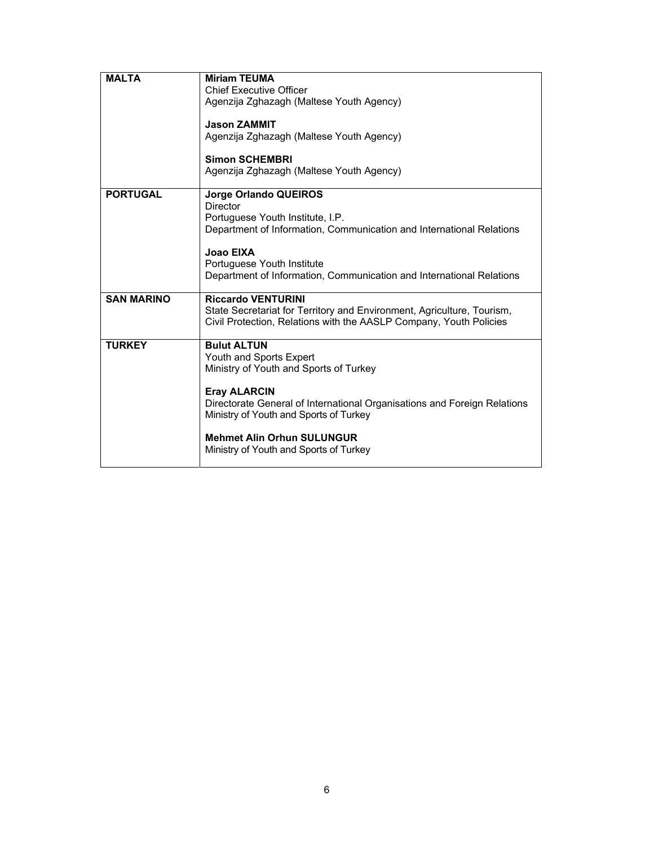| <b>MALTA</b>      | <b>Miriam TEUMA</b>                                                                                |
|-------------------|----------------------------------------------------------------------------------------------------|
|                   | <b>Chief Executive Officer</b>                                                                     |
|                   | Agenzija Zghazagh (Maltese Youth Agency)                                                           |
|                   |                                                                                                    |
|                   | <b>Jason ZAMMIT</b>                                                                                |
|                   | Agenzija Zghazagh (Maltese Youth Agency)                                                           |
|                   | <b>Simon SCHEMBRI</b>                                                                              |
|                   | Agenzija Zghazagh (Maltese Youth Agency)                                                           |
|                   |                                                                                                    |
| <b>PORTUGAL</b>   | Jorge Orlando QUEIROS                                                                              |
|                   | Director                                                                                           |
|                   | Portuguese Youth Institute, I.P.                                                                   |
|                   | Department of Information, Communication and International Relations                               |
|                   |                                                                                                    |
|                   | Joao EIXA                                                                                          |
|                   | Portuguese Youth Institute<br>Department of Information, Communication and International Relations |
|                   |                                                                                                    |
| <b>SAN MARINO</b> | <b>Riccardo VENTURINI</b>                                                                          |
|                   | State Secretariat for Territory and Environment, Agriculture, Tourism,                             |
|                   | Civil Protection, Relations with the AASLP Company, Youth Policies                                 |
|                   |                                                                                                    |
| <b>TURKEY</b>     | <b>Bulut ALTUN</b>                                                                                 |
|                   | Youth and Sports Expert                                                                            |
|                   | Ministry of Youth and Sports of Turkey                                                             |
|                   | <b>Eray ALARCIN</b>                                                                                |
|                   | Directorate General of International Organisations and Foreign Relations                           |
|                   | Ministry of Youth and Sports of Turkey                                                             |
|                   |                                                                                                    |
|                   | <b>Mehmet Alin Orhun SULUNGUR</b>                                                                  |
|                   | Ministry of Youth and Sports of Turkey                                                             |
|                   |                                                                                                    |